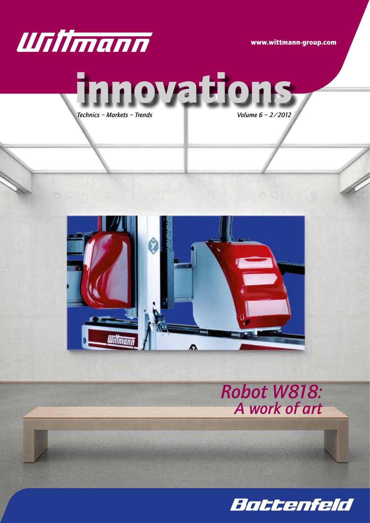

www.wittmann-group.com







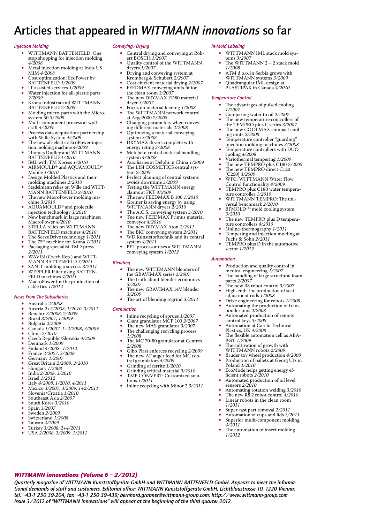### Articles that appeared in *WITTMANN innovations* so far

#### *Injection Molding*

- WITTMANN BATTENFELD: One stop shopping for injection molding *4/2008*
- Metal injection molding at Indo-US MIM *4/2008*
- Cost optimization: EcoPower by
- BATTENFELD *1/2009* • IT assisted services *1/2009*
- Water injection for all-plastic parts *2/2009*
- Krona Indústria and WITTMANN BATTENFELD *2/2009*
- • Molding micro-parts with the Micro-system 50 *3/2009*
- • Multi-component process at wolf-craft *4/2009*
- Process data acquisition: partnership with Wille System *4/2009*
- The new all-electric EcoPower injec-
- tion molding machine *4/2009* • Thomas Dudley and WITTMANN
- BATTENFELD *1/2010* • IML with TM Xpress *1/2010* AIRMOULD® and AQUAMOULD®
- Mobile *1/2010* Design Molded Plastics and their molding machines *2/2010*
- • Stadelmann relies on Wille and WITT-MANN BATTENFELD *2/2010*
- The new MicroPower molding machine *3/2010*
- AQUAMOULD<sup>®</sup> and projectile injection technology *3/2010*
- • New benchmark in large machines: MacroPower *4/2010*
- STELLA relies on WITTMANN BATTENFELD machines *4/2010*
- The ServoDrive technology  $1/2011$
- The 75<sup>th</sup> machine for Krona 1/2011<br>• Packaging specialist TM Xpress
- • Packaging specialist TM Xpress *2/2011*
- • WAVIN (Czech Rep.) and WITT-MANN BATTENFELD *3/2011*
- SANIT molding a success  $3/2011$
- WEPPLER Filter using BATTEN-FELD machines *4/2011*
- MacroPower for the production of cable ties *1/2012*

### *News From The Subsidiaries*

- • Australia *2/2008*
- • Austria *2+3/2008*, *1/2010*, *3/2011*
- • Benelux *3/2008*, *2/2009*
- • Brazil *3/2007*, *1/2009*
- • Bulgaria *2/2009* • Canada *1/2007*, *1+2/2008*, *3/2009*
- • China *2/2010*
- • Czech Republic/Slovakia *4/2009*
- • Denmark *1/2009*
- Finland  $\frac{4}{2008}$  + 1/2012
- • France *2/2007*, *3/2008*
- 
- • Germany *1/2007* • Great Britain *2/2009*, *2/2010*
- • Hungary *1/2008*
- • India *2/2008*, *3/2010*
- Israel  $\frac{1}{2012}$
- Italy  $\frac{4}{2008}$ ,  $\frac{1}{2010}$ ,  $\frac{4}{2011}$ <br>• Mexico  $\frac{3}{2007}$ ,  $\frac{2}{2009}$ ,  $\frac{1}{12}$
- • Mexico *3/2007*, *3/2009*, *1+2/2011*
- • Slovenia/Croatia *1/2010*
- • Southeast Asia *2/2007* South Kores  $3/2010$
- 
- Spain 3/2007<br>• Sweden 2/20
- Sweden  $2/2009$ <br>• Switzerland  $1/2$ Switzerland  $1/2008$
- 
- • Taiwan *4/2009* • Turkey *3/2008*, *2+4/2011*
- USA  $2/2008$ ,  $3/2009$ ,  $1/2011$

*WITTMANN innovations (Volume 6 – 2/2012)*

### *Conveying/Drying*

- • Central drying and conveying at Rob-ert BOSCH *1/2007*
- Quality control of the WITTMANN dryers *1/2007*
- Drying and conveying system at
- Kromberg & Schubert *2/2007* • Cost efficient material drying *2/2007*
- • FEEDMAX conveying units fit for the clean room *3/2007*
- The new DRYMAX ED80 material
- dryer *3/2007* Focus on material feeding  $1/2008$
- The WITTMANN network control at Arge2000 *2/2008*
- Changing parameters when conveying different materials *2/2008*
- Optimizing a material conveying system *3/2008*
- DRYMAX dryers complete with energy rating *3/2008*
- Metchem central material handling system *4/2008*
- • Auxiliaries at Delphi in China *1/2009* The LISI COSMETICS central sys-
- tem *2/2009* Perfect planning of central systems avoids downtime *3/2009*
- • Testing the WITTMANN energy claims at FKT *4/2009*
- The new FEEDMAX B 100 *1/2010*
- • Greiner is saving energy by using WITTMANN dryers *2/2010*
- 
- The A.C.S. conveying system  $3/2010$ • Tne new FEEDMAX Primus material conveyor *4/2010*
- 
- The new DRYMAX Aton 2/2011
- • The BKF conveying system *2/2011* • WD Kunststofftechnik and its central system *4/2011*
- • PET processor uses <sup>a</sup> WITTMANN conveying system *1/2012*

#### *Blending*

- The new WITTMANN blenders of the GRAVIMAX series *2/2007*
- The truth about blender economics *3/2007*
- The new GRAVIMAX 14V blender *3/2009*
- The art of blending regrind  $3/2011$

#### *Granulation*

- • Inline recycling of sprues *1/2007*
- • Giant granulator MCP <sup>100</sup> *2/2007*
- The new MAS granulator  $3/2007$
- The challenging recycling process *1/2008*
- The MC 70-80 granulator at Centrex *2/2008*
- Gibo Plast enforces recycling  $2/2009$
- The new AF auger feed for MC cen-<br>tral granulators  $4/2009$
- Grinding of ferrite  $1/2010$
- • Grinding critical material *3/2010*
- TMP CONVERT: Customized solu-
- tions *1/2011* Inline recycling with Minor 2 3/2011

*Quarterly magazine of WITTMANN Kunststoffgeräte GmbH and WITTMANN BATTENFELD GmbH. Appears to meet the informational demands of staff and customers. Editorial office: WITTMANN Kunststoffgeräte GmbH, Lichtblaustrasse 10, 1220 Vienna; tel. +43-1 250 39-204, fax +43-1 250 39-439; bernhard.grabner@wittmann-group.com; http://www.wittmann-group.com*

*Issue 3/2012 of "WITTMANN innovations" will appear at the beginning of the third quarter 2012.*

### *In-Mold Labeling*

*Temperature Control*

*1/2007*

ing units *2/2008*

cooling *4/2008*

[C250] *3/2009*

*3/2010*

*Automation*

• Production and quality control in medical engineering *1/2007*

control keys *3/2008*

Plastics, UK *4/2008*

PGT *1/2009*

sensors *2/2010*

*4/2011*

*1/2012*

• The handling of large structural foam parts *2/2007* • The new R8 robot control *3/2007* High-end: The production of seat adjustment rods *1/2008*

• Drive engineering for robots *1/2008* • Automating the production of trans-<br>ponder pins 2/2008<br>• Automated production of remote

Automation at Carclo Technical

The cultivation of growth with WITTMANN robots *2/2009* • Bruder toy wheel production *4/2009* • Production of pallets at Georg Utz in Poland *1/2010*<br>• EcoMode helps getting energy ef-<br>ficient robots 2/2010 Automated production of oil level

The flexible automation cell as ABA-

Automating rotation welding  $3/2010$ • The new  $R\overline{8}.2$  robot control  $\frac{4}{2010}$ <br>• Linear robots in the clean room • Linear robots in the clean room *1/2011* Super-fast part removal  $2/2011$ • Automation of cups and lids *3/2011* • Superior mulit-component molding

The automation of insert molding

- WITTMANN IML stack mold systems *3/2007*
- The WITTMANN  $2 + 2$  stack mold *1/2008*

The advantages of pulsed cooling

Temperature controller "guarding" injection molding machines *3/2008* Temperature controllers with DUO

• Variothermal tempering *1/2009* • The new TEMPRO plus C180 2/2009 • The new TEMPRO direct C120

WFC: WITTMANN Water Flow Control functionality *4/2009* TEMPRO plus C180 water temperature controller *1/2010*<br>• WITTMANN TEMPRO: The universal benchmark 2/2010<br>BFMOLD™ mold cooling system

The new TEMPRO plus D tempera-

TEMPRO plus D in the automotive

ture controllers *4/2010* Online-thermography  $1/2011$ Tempering and injection molding at

Fuchs & Sohn *2/2011*

sector *1/2012*

Comparing water to oil  $2/2007$ • The new temperature controllers of the TEMPRO plus C series *3/2007* The new COOLMAX compact cool-

- ATM d.o.o. in Serbia grows with
- WITTMANN systems *3/2009*
- • Quadrangular IML design at PLASTIPAK in Canada *4/2010*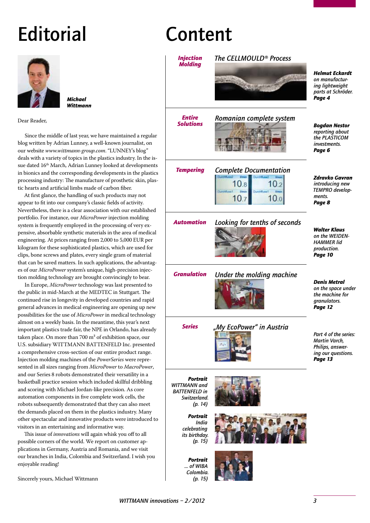# **Editorial**



*Michael Wittmann*

Dear Reader,

Since the middle of last year, we have maintained a regular blog written by Adrian Lunney, a well-known journalist, on our website *www.wittmann-group.com*. "LUNNEY's blog" deals with a variety of topics in the plastics industry. In the issue dated 16<sup>th</sup> March, Adrian Lunney looked at developments in bionics and the corresponding developments in the plastics processing industry: The manufacture of prosthetic skin, plastic hearts and artificial limbs made of carbon fiber.

At first glance, the handling of such products may not appear to fit into our company's classic fields of activity. Nevertheless, there is a clear association with our established portfolio. For instance, our *MicroPower* injection molding system is frequently employed in the processing of very expensive, absorbable synthetic materials in the area of medical engineering. At prices ranging from 2,000 to 5,000 EUR per kilogram for these sophisticated plastics, which are used for clips, bone screws and plates, every single gram of material that can be saved matters. In such applications, the advantages of our *MicroPower* system's unique, high-precision injection molding technology are brought convincingly to bear.

In Europe, *MicroPower* technology was last presented to the public in mid-March at the MEDTEC in Stuttgart. The continued rise in longevity in developed countries and rapid general advances in medical engineering are opening up new possibilities for the use of *MicroPower* in medical technology almost on a weekly basis. In the meantime, this year's next important plastics trade fair, the NPE in Orlando, has already taken place. On more than 700 m² of exhibition space, our U.S. subsidiary WITTMANN BATTENFELD Inc. presented a comprehensive cross-section of our entire product range. Injection molding machines of the *PowerSeries* were represented in all sizes ranging from *MicroPower* to *MacroPower*, and our Series 8 robots demonstrated their versatility in a basketball practice session which included skillful dribbling and scoring with Michael Jordan-like precision. As core automation components in five complete work cells, the robots subsequently demonstrated that they can also meet the demands placed on them in the plastics industry. Many other spectacular and innovative products were introduced to visitors in an entertaining and informative way.

This issue of *innovations* will again whisk you off to all possible corners of the world. We report on customer applications in Germany, Austria and Romania, and we visit our branches in India, Colombia and Switzerland. I wish you enjoyable reading!

Sincerely yours, Michael Wittmann

# Content

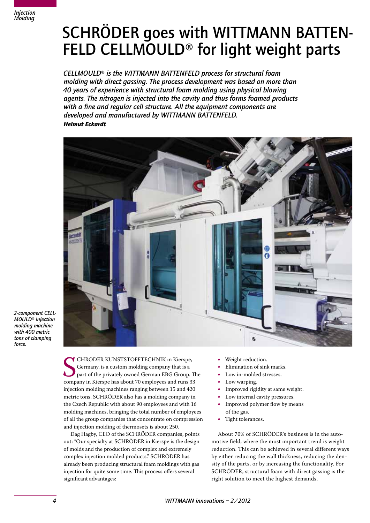

# SCHRÖDER goes with WITTMANN BATTEN- FELD CELLMOULD® for light weight parts

*CELLMOULD*® *is the WITTMANN BATTENFELD process for structural foam molding with direct gassing. The process development was based on more than 40 years of experience with structural foam molding using physical blowing agents. The nitrogen is injected into the cavity and thus forms foamed products with a fine and regular cell structure. All the equipment components are developed and manufactured by WITTMANN BATTENFELD. Helmut Eckardt*



*2-component CELL-MOULD*® *injection molding machine with 400 metric tons of clamping force.*

> **SEPTE CHRODER KUNSTSTOFFTECHNIK in Kierspe,**<br>Germany, is a custom molding company that is a<br>part of the privately owned German EBG Group. T<br>company in Kierspe has about 70 employees and runs 33 **T** CHRÖDER KUNSTSTOFFTECHNIK in Kierspe, Germany, is a custom molding company that is a part of the privately owned German EBG Group. The injection molding machines ranging between 15 and 420 metric tons. SCHRÖDER also has a molding company in the Czech Republic with about 90 employees and with 16 molding machines, bringing the total number of employees of all the group companies that concentrate on compression and injection molding of thermosets is about 250.

Dag Hagby, CEO of the SCHRÖDER companies, points out: "Our specialty at SCHRÖDER in Kierspe is the design of molds and the production of complex and extremely complex injection molded products." SCHRÖDER has already been producing structural foam moldings with gas injection for quite some time. This process offers several significant advantages:

- Weight reduction.
- Elimination of sink marks.
- Low in-molded stresses.
- Low warping.
- Improved rigidity at same weight.
- Low internal cavity pressures.
- Improved polymer flow by means of the gas.
- Tight tolerances.

About 70% of SCHRÖDER's business is in the automotive field, where the most important trend is weight reduction. This can be achieved in several different ways by either reducing the wall thickness, reducing the density of the parts, or by increasing the functionality. For SCHRÖDER, structural foam with direct gassing is the right solution to meet the highest demands.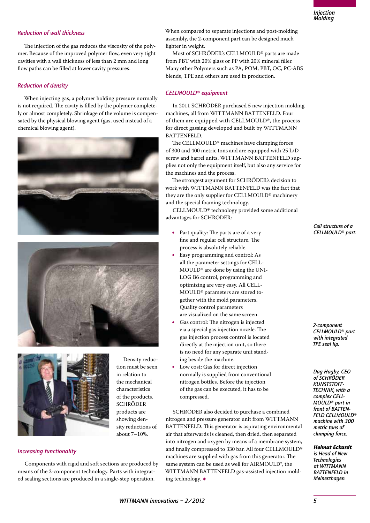### *Reduction of wall thickness*

The injection of the gas reduces the viscosity of the polymer. Because of the improved polymer flow, even very tight cavities with a wall thickness of less than 2 mm and long flow paths can be filled at lower cavity pressures.

### *Reduction of density*

When injecting gas, a polymer holding pressure normally is not required. The cavity is filled by the polymer completely or almost completely. Shrinkage of the volume is compensated by the physical blowing agent (gas, used instead of a chemical blowing agent).







Density reduction must be seen in relation to the mechanical characteristics of the products. SCHRÖDER products are showing density reductions of about 7–10%.

### *Increasing functionality*

Components with rigid and soft sections are produced by means of the 2-component technology. Parts with integrated sealing sections are produced in a single-step operation.

When compared to separate injections and post-molding assembly, the 2-component part can be designed much lighter in weight.

Most of SCHRÖDER's CELLMOULD® parts are made from PBT with 20% glass or PP with 20% mineral filler. Many other Polymers such as PA, POM, PBT, OC, PC-ABS blends, TPE and others are used in production.

### *CELLMOULD® equipment*

In 2011 SCHRÖDER purchased 5 new injection molding machines, all from WITTMANN BATTENFELD. Four of them are equipped with CELLMOULD®, the process for direct gassing developed and built by WITTMANN BATTENFELD.

The CELLMOULD® machines have clamping forces of 300 and 400 metric tons and are equipped with 25 L/D screw and barrel units. WITTMANN BATTENFELD supplies not only the equipment itself, but also any service for the machines and the process.

The strongest argument for SCHRÖDER's decision to work with WITTMANN BATTENFELD was the fact that they are the only supplier for CELLMOULD® machinery and the special foaming technology.

CELLMOULD® technology provided some additional advantages for SCHRÖDER:

- Part quality: The parts are of a very fine and regular cell structure. The process is absolutely reliable.
- • Easy programming and control: As all the parameter settings for CELL-MOULD® are done by using the UNI-LOG B6 control, programming and optimizing are very easy. All CELL-MOULD® parameters are stored together with the mold parameters. Quality control parameters are visualized on the same screen.
- Gas control: The nitrogen is injected via a special gas injection nozzle. The gas injection process control is located directly at the injection unit, so there is no need for any separate unit standing beside the machine.
- Low cost: Gas for direct injection normally is supplied from conventional nitrogen bottles. Before the injection of the gas can be executed, it has to be compressed.

SCHRÖDER also decided to purchase a combined nitrogen and pressure generator unit from WITTMANN BATTENFELD. This generator is aspirating environmental air that afterwards is cleaned, then dried, then separated into nitrogen and oxygen by means of a membrane system, and finally compressed to 330 bar. All four CELLMOULD® machines are supplied with gas from this generator. The same system can be used as well for AIRMOULD®, the WITTMANN BATTENFELD gas-assisted injection molding technology.•

*Cell structure of a CELLMOULD*® *part.*

*2-component CELLMOULD*® *part with integrated TPE seal lip.*

*Dag Hagby, CEO of SCHRÖDER KUNSTSTOFF-TECHNIK, with a complex CELL-MOULD*® *part in front of BATTEN-FELD CELLMOULD*® *machine with 300 metric tons of clamping force.*

*Helmut Eckardt*

*is Head of New Technologies at WITTMANN BATTENFELD in Meinerzhagen.*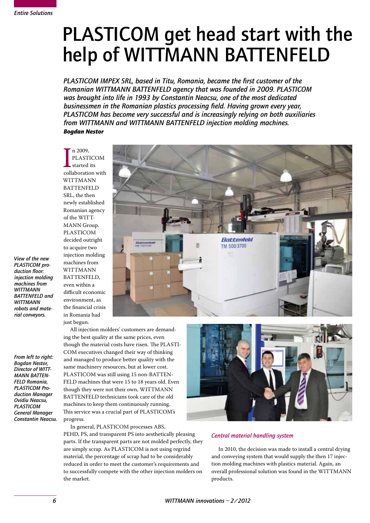# PLASTICOM get head start with the help of WITTMANN BATTENFELD

*PLASTICOM IMPEX SRL, based in Titu, Romania, became the first customer of the Romanian WITTMANN BATTENFELD agency that was founded in 2009. PLASTICOM was brought into life in 1993 by Constantin Neacsu, one of the most dedicated businessmen in the Romanian plastics processing field. Having grown every year, PLASTICOM has become very successful and is increasingly relying on both auxiliaries from WITTMANN and WITTMANN BATTENFELD injection molding machines. Bogdan Nestor*

n 2009,<br>PLASTICOM<br>started its<br>collaboration with n 2009. PLASTICOM started its WITTMANN BATTENFELD SRL, the then newly established Romanian agency of the WITT-MANN Group. PLASTICOM decided outright to acquire two injection molding machines from WITTMANN BATTENFELD, even within a difficult economic environment, as the financial crisis in Romania had just begun. All injection molders' customers are demand-

**Anttenfeld** TM 500/3700

*View of the new PLASTICOM production floor: injection molding machines from WITTMANN BATTENFELD and WITTMANN robots and material conveyors.*

*From left to right: Bogdan Nestor, Director of WITT-MANN BATTEN-FELD Romania, PLASTICOM Production Manager Ovidiu Neacsu, PLASTICOM General Manager Constantin Neacsu.*

ing the best quality at the same prices, even though the material costs have risen. The PLASTI-COM executives changed their way of thinking and managed to produce better quality with the same machinery resources, but at lower cost. PLASTICOM was still using 15 non-BATTEN-FELD machines that were 15 to 18 years old. Even though they were not their own, WITTMANN BATTENFELD technicians took care of the old machines to keep them continuously running. This service was a crucial part of PLASTICOM's progress.

In general, PLASTICOM processes ABS, PEHD, PS, and transparent PS into aesthetically pleasing parts. If the transparent parts are not molded perfectly, they are simply scrap. As PLASTICOM is not using regrind material, the percentage of scrap had to be considerably reduced in order to meet the customer's requirements and to successfully compete with the other injection molders on the market.



### *Central material handling system*

In 2010, the decision was made to install a central drying and conveying system that would supply the then 17 injection molding machines with plastics material. Again, an overall professional solution was found in the WITTMANN products.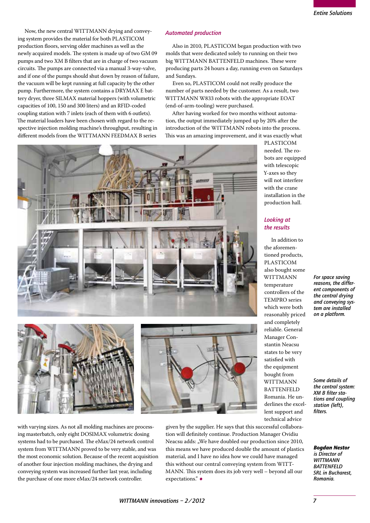Now, the new central WITTMANN drying and conveying system provides the material for both PLASTICOM production floors, serving older machines as well as the newly acquired models. The system is made up of two GM 09 pumps and two XM B filters that are in charge of two vacuum circuits. The pumps are connected via a manual 3-way-valve, and if one of the pumps should shut down by reason of failure, the vacuum will be kept running at full capacity by the other pump. Furthermore, the system contains a DRYMAX E battery dryer, three SILMAX material hoppers (with volumetric capacities of 100, 150 and 300 liters) and an RFID-coded coupling station with 7 inlets (each of them with 6 outlets). The material loaders have been chosen with regard to the respective injection molding machine's throughput, resulting in different models from the WITTMANN FEEDMAX B series

### *Automated production*

Also in 2010, PLASTICOM began production with two molds that were dedicated solely to running on their two big WITTMANN BATTENFELD machines. These were producing parts 24 hours a day, running even on Saturdays and Sundays.

Even so, PLASTICOM could not really produce the number of parts needed by the customer. As a result, two WITTMANN W833 robots with the appropriate EOAT (end-of-arm-tooling) were purchased.

After having worked for two months without automation, the output immediately jumped up by 20% after the introduction of the WITTMANN robots into the process. This was an amazing improvement, and it was exactly what



PLASTICOM needed. The robots are equipped with telescopic Y-axes so they will not interfere with the crane installation in the production hall.

### *Looking at the results*

In addition to the aforementioned products, PLASTICOM also bought some WITTMANN temperature controllers of the TEMPRO series which were both reasonably priced and completely reliable. General Manager Constantin Neacsu states to be very satisfied with the equipment bought from WITTMANN **BATTENFELD** Romania. He underlines the excellent support and technical advice

*For space saving reasons, the different components of the central drying and conveying system are installed on a platform.*

*Some details of the central system: XM B filter stations and coupling station (left), filters.*

*Bogdan Nestor is Director of* 

*WITTMANN BATTENFELD SRL in Bucharest, Romania.*

with varying sizes. As not all molding machines are processing masterbatch, only eight DOSIMAX volumetric dosing systems had to be purchased. The eMax/24 network control system from WITTMANN proved to be very stable, and was the most economic solution. Because of the recent acquisition of another four injection molding machines, the drying and conveying system was increased further last year, including the purchase of one more eMax/24 network controller.

given by the supplier. He says that this successful collaboration will definitely continue. Production Manager Ovidiu Neacsu adds: "We have doubled our production since 2010, this means we have produced double the amount of plastics material, and I have no idea how we could have managed this without our central conveying system from WITT-MANN. This system does its job very well – beyond all our expectations."•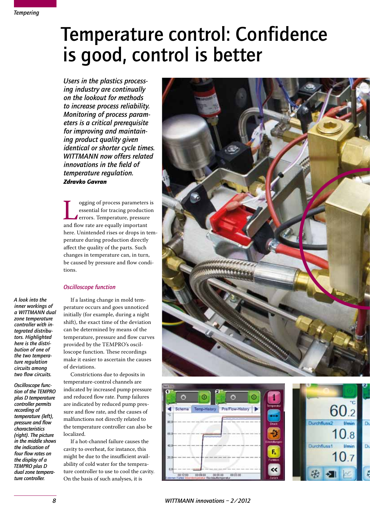# Temperature control: Confidence is good, control is better

*Users in the plastics processing industry are continually on the lookout for methods to increase process reliability. Monitoring of process parameters is a critical prerequisite for improving and maintaining product quality given identical or shorter cycle times. WITTMANN now offers related innovations in the field of temperature regulation. Zdravko Gavran*

Integrals of process parameters is<br>essential for tracing production<br>errors. Temperature, pressure<br>and flow rate are equally important essential for tracing production errors. Temperature, pressure here. Unintended rises or drops in temperature during production directly affect the quality of the parts. Such changes in temperature can, in turn, be caused by pressure and flow conditions.

### *Oscilloscope function*

*A look into the inner workings of a WITTMANN dual zone temperature controller with integrated distributors. Highlighted here is the distribution of one of the two temperature regulation circuits among two flow circuits.*

*Oscilloscope function of the TEMPRO plus D temperature controller permits recording of temperature (left), pressure and flow characteristics (right). The picture in the middle shows the indication of four flow rates on the display of a TEMPRO plus D dual zone temperature controller.*

If a lasting change in mold temperature occurs and goes unnoticed initially (for example, during a night shift), the exact time of the deviation can be determined by means of the temperature, pressure and flow curves provided by the TEMPRO's oscilloscope function. These recordings make it easier to ascertain the causes of deviations.

Constrictions due to deposits in temperature-control channels are indicated by increased pump pressure and reduced flow rate. Pump failures are indicated by reduced pump pressure and flow rate, and the causes of malfunctions not directly related to the temperature controller can also be localized.

If a hot-channel failure causes the cavity to overheat, for instance, this might be due to the insufficient availability of cold water for the temperature controller to use to cool the cavity. On the basis of such analyses, it is





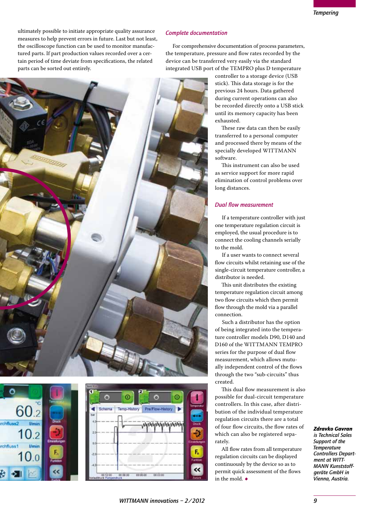ultimately possible to initiate appropriate quality assurance measures to help prevent errors in future. Last but not least, the oscilloscope function can be used to monitor manufactured parts. If part production values recorded over a certain period of time deviate from specifications, the related parts can be sorted out entirely.

### *Complete documentation*

For comprehensive documentation of process parameters, the temperature, pressure and flow rates recorded by the device can be transferred very easily via the standard integrated USB port of the TEMPRO plus D temperature

controller to a storage device (USB stick). This data storage is for the previous 24 hours. Data gathered during current operations can also be recorded directly onto a USB stick until its memory capacity has been exhausted.

These raw data can then be easily transferred to a personal computer and processed there by means of the specially developed WITTMANN software.

This instrument can also be used as service support for more rapid elimination of control problems over long distances.

### *Dual flow measurement*

If a temperature controller with just one temperature regulation circuit is employed, the usual procedure is to connect the cooling channels serially to the mold.

If a user wants to connect several flow circuits whilst retaining use of the single-circuit temperature controller, a distributor is needed.

This unit distributes the existing temperature regulation circuit among two flow circuits which then permit flow through the mold via a parallel connection.

Such a distributor has the option of being integrated into the temperature controller models D90, D140 and D160 of the WITTMANN TEMPRO series for the purpose of dual flow measurement, which allows mutually independent control of the flows through the two "sub-circuits" thus created.

This dual flow measurement is also possible for dual-circuit temperature controllers. In this case, after distribution of the individual temperature regulation circuits there are a total of four flow circuits, the flow rates of which can also be registered separately.

All flow rates from all temperature regulation circuits can be displayed continuously by the device so as to permit quick assessment of the flows in the mold.  $\bullet$ 

### *Zdravko Gavran*

*is Technical Sales Support of the Temperature Controllers Department at WITT-MANN Kunststoffgeräte GmbH in Vienna, Austria.*





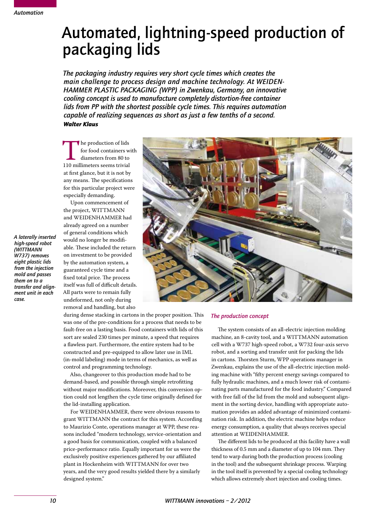### Automated, lightning-speed production of packaging lids

*The packaging industry requires very short cycle times which creates the main challenge to process design and machine technology. At WEIDEN-HAMMER PLASTIC PACKAGING (WPP) in Zwenkau, Germany, an innovative cooling concept is used to manufacture completely distortion-free container lids from PP with the shortest possible cycle times. This requires automation capable of realizing sequences as short as just a few tenths of a second. Walter Klaus*

The production of lids<br>
for food containers w<br>
diameters from 80 to<br>
110 millimeters seems trivial for food containers with diameters from 80 to at first glance, but it is not by any means. The specifications for this particular project were especially demanding.

Upon commencement of the project, WITTMANN and WEIDENHAMMER had already agreed on a number of general conditions which would no longer be modifiable. These included the return on investment to be provided by the automation system, a guaranteed cycle time and a fixed total price. The process itself was full of difficult details. All parts were to remain fully undeformed, not only during removal and handling, but also



during dense stacking in cartons in the proper position. This was one of the pre-conditions for a process that needs to be fault-free on a lasting basis. Food containers with lids of this sort are sealed 230 times per minute, a speed that requires a flawless part. Furthermore, the entire system had to be constructed and pre-equipped to allow later use in IML (in-mold labeling) mode in terms of mechanics, as well as control and programming technology.

Also, changeover to this production mode had to be demand-based, and possible through simple retrofitting without major modifications. Moreover, this conversion option could not lengthen the cycle time originally defined for the lid-installing application.

For WEIDENHAMMER, there were obvious reasons to grant WITTMANN the contract for this system. According to Maurizio Conte, operations manager at WPP, these reasons included "modern technology, service-orientation and a good basis for communication, coupled with a balanced price-performance ratio. Equally important for us were the exclusively positive experiences gathered by our affiliated plant in Hockenheim with WITTMANN for over two years, and the very good results yielded there by a similarly designed system."

### *The production concept*

The system consists of an all-electric injection molding machine, an 8-cavity tool, and a WITTMANN automation cell with a W737 high-speed robot, a W732 four-axis servo robot, and a sorting and transfer unit for packing the lids in cartons. Thorsten Sturm, WPP operations manager in Zwenkau, explains the use of the all-electric injection molding machine with "fifty percent energy savings compared to fully hydraulic machines, and a much lower risk of contaminating parts manufactured for the food industry." Compared with free fall of the lid from the mold and subsequent alignment in the sorting device, handling with appropriate automation provides an added advantage of minimized contamination risk. In addition, the electric machine helps reduce energy consumption, a quality that always receives special attention at WEIDENHAMMER.

The different lids to be produced at this facility have a wall thickness of 0.5 mm and a diameter of up to 104 mm. They tend to warp during both the production process (cooling in the tool) and the subsequent shrinkage process. Warping in the tool itself is prevented by a special cooling technology which allows extremely short injection and cooling times.

*high-speed robot (WITTMANN W737) removes eight plastic lids from the injection mold and passes them on to a transfer and alignment unit in each case.*

*A laterally inserted*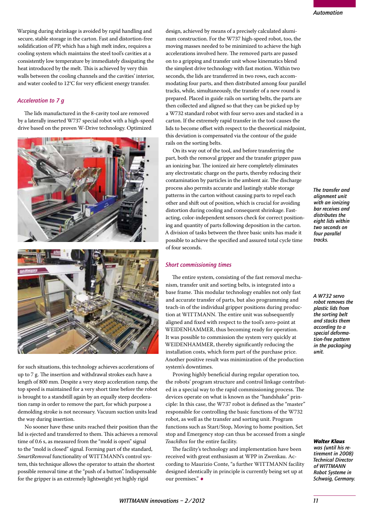Warping during shrinkage is avoided by rapid handling and secure, stable storage in the carton. Fast and distortion-free solidification of PP, which has a high melt index, requires a cooling system which maintains the steel tool's cavities at a consistently low temperature by immediately dissipating the heat introduced by the melt. This is achieved by very thin walls between the cooling channels and the cavities' interior, and water cooled to 12°C for very efficient energy transfer.

### *Acceleration to 7 g*

The lids manufactured in the 8-cavity tool are removed by a laterally inserted W737 special robot with a high-speed drive based on the proven W-Drive technology. Optimized





for such situations, this technology achieves accelerations of up to 7 g. The insertion and withdrawal strokes each have a length of 800 mm. Despite a very steep acceleration ramp, the top speed is maintained for a very short time before the robot is brought to a standstill again by an equally steep deceleration ramp in order to remove the part, for which purpose a demolding stroke is not necessary. Vacuum suction units lead the way during insertion.

No sooner have these units reached their position than the lid is ejected and transferred to them. This achieves a removal time of 0.6 s, as measured from the "mold is open" signal to the "mold is closed" signal. Forming part of the standard, *SmartRemoval* functionality of WITTMANN's control system, this technique allows the operator to attain the shortest possible removal time at the "push of a button". Indispensable for the gripper is an extremely lightweight yet highly rigid

design, achieved by means of a precisely calculated aluminum construction. For the W737 high-speed robot, too, the moving masses needed to be minimized to achieve the high accelerations involved here. The removed parts are passed on to a gripping and transfer unit whose kinematics blend the simplest drive technology with fast motion. Within two seconds, the lids are transferred in two rows, each accommodating four parts, and then distributed among four parallel tracks, while, simultaneously, the transfer of a new round is prepared. Placed in guide rails on sorting belts, the parts are then collected and aligned so that they can be picked up by a W732 standard robot with four servo axes and stacked in a carton. If the extremely rapid transfer in the tool causes the lids to become offset with respect to the theoretical midpoint, this deviation is compensated via the contour of the guide rails on the sorting belts.

On its way out of the tool, and before transferring the part, both the removal gripper and the transfer gripper pass an ionizing bar. The ionized air here completely eliminates any electrostatic charge on the parts, thereby reducing their contamination by particles in the ambient air. The discharge process also permits accurate and lastingly stable storage patterns in the carton without causing parts to repel each other and shift out of position, which is crucial for avoiding distortion during cooling and consequent shrinkage. Fastacting, color-independent sensors check for correct positioning and quantity of parts following deposition in the carton. A division of tasks between the three basic units has made it possible to achieve the specified and assured total cycle time of four seconds.

### *Short commissioning times*

The entire system, consisting of the fast removal mechanism, transfer unit and sorting belts, is integrated into a base frame. This modular technology enables not only fast and accurate transfer of parts, but also programming and teach-in of the individual gripper positions during production at WITTMANN. The entire unit was subsequently aligned and fixed with respect to the tool's zero-point at WEIDENHAMMER, thus becoming ready for operation. It was possible to commission the system very quickly at WEIDENHAMMER, thereby significantly reducing the installation costs, which form part of the purchase price. Another positive result was minimization of the production system's downtimes.

Proving highly beneficial during regular operation too, the robots' program structure and control linkage contributed in a special way to the rapid commissioning process. The devices operate on what is known as the "handshake" principle: In this case, the W737 robot is defined as the "master" responsible for controlling the basic functions of the W732 robot, as well as the transfer and sorting unit. Program functions such as Start/Stop, Moving to home position, Set stop and Emergency stop can thus be accessed from a single *TeachBox* for the entire facility.

The facility's technology and implementation have been received with great enthusiasm at WPP in Zwenkau. According to Maurizio Conte, "a further WITTMANN facility designed identically in principle is currently being set up at our premises."•

*The transfer and alignment unit with an ionizing bar receives and distributes the eight lids within two seconds on four parallel tracks.*

*A W732 servo robot removes the plastic lids from the sorting belt and stacks them according to a special deformation-free pattern in the packaging unit.*

#### *Walter Klaus*

*was (until his retirement in 2008) Technical Director of WITTMANN Robot Systeme in Schwaig, Germany.*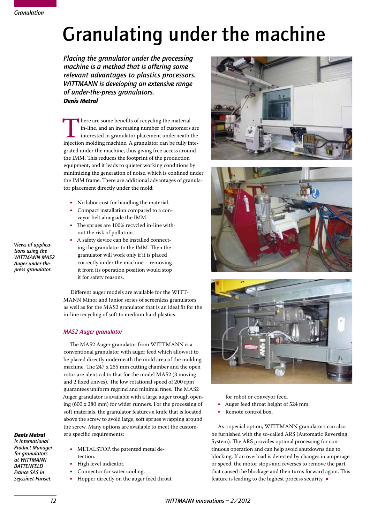# Granulating under the machine

*Placing the granulator under the processing machine is a method that is offering some relevant advantages to plastics processors. WITTMANN is developing an extensive range of under-the-press granulators. Denis Metral*

There are some benefits of recycling the material<br>in-line, and an increasing number of customers are<br>interested in granulator placement underneath the<br>injection molding machine. A granulator can be fully intein-line, and an increasing number of customers are interested in granulator placement underneath the grated under the machine, thus giving free access around the IMM. This reduces the footprint of the production equipment, and it leads to quieter working conditions by minimizing the generation of noise, which is confined under the IMM frame. There are additional advantages of granulator placement directly under the mold:

- No labor cost for handling the material.
- Compact installation compared to a conveyor belt alongside the IMM.
- • The sprues are 100% recycled in-line without the risk of pollution.
- A safety device can be installed connecting the granulator to the IMM. Then the granulator will work only if it is placed correctly under the machine – removing it from its operation position would stop it for safety reasons.

Different auger models are available for the WITT-MANN Minor and Junior series of screenless granulators as well as for the MAS2 granulator that is an ideal fit for the in-line recycling of soft to medium hard plastics.

### *MAS2 Auger granulator*

tection.

High level indicator.

Connector for water cooling.

The MAS2 Auger granulator from WITTMANN is a conventional granulator with auger feed which allows it to be placed directly underneath the mold area of the molding machine. The 247 x 255 mm cutting chamber and the open rotor are identical to that for the model MAS2 (3 moving and 2 fixed knives). The low rotational speed of 200 rpm guarantees uniform regrind and minimal fines. The MAS2 Auger granulator is available with a large auger trough opening (600 x 280 mm) for wider runners. For the processing of soft materials, the granulator features a knife that is located above the screw to avoid large, soft sprues wrapping around the screw. Many options are available to meet the customer's specific requirements:

METALSTOP, the patented metal de-

• Hopper directly on the auger feed throat

### *Denis Metral*

*is International Product Manager for granulators at WITTMANN BATTENFELD France SAS in Seyssinet-Pariset.*







for robot or conveyor feed.

- Auger feed throat height of 524 mm.<br>• Remote control box.
- Remote control box.

As a special option, WITTMANN granulators can also be furnished with the so-called ARS (Automatic Reversing System). The ARS provides optimal processing for continuous operation and can help avoid shutdowns due to blocking. If an overload is detected by changes in amperage or speed, the motor stops and reverses to remove the part that caused the blockage and then turns forward again. This feature is leading to the highest process security.  $\bullet$ 

*Views of applications using the WITTMANN MAS2 Auger under-thepress granulator.*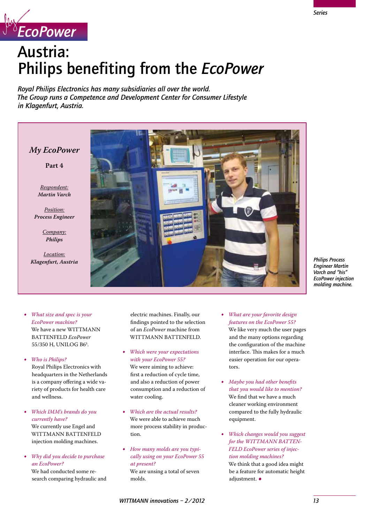

## Austria: Philips benefiting from the *EcoPower*

*Royal Philips Electronics has many subsidiaries all over the world. The Group runs a Competence and Development Center for Consumer Lifestyle in Klagenfurt, Austria.*

*My EcoPower*

**Part 4**

*Respondent: Martin Varch*

*Position: Process Engineer*

> *Company: Philips*

*Location: Klagenfurt, Austria*



*Philips Process Engineer Martin Varch and "his" EcoPower injection molding machine.*

- *What size and spec is your EcoPower machine?* We have a new WITTMANN BATTENFELD *EcoPower* 55/350 H, UNILOG B6<sup>s</sup>.
- • *Who is Philips?* Royal Philips Electronics with headquarters in the Netherlands is a company offering a wide variety of products for health care and wellness.
- • *Which IMM's brands do you currently have?* We currently use Engel and WITTMANN BATTENFELD injection molding machines.
- • *Why did you decide to purchase an EcoPower?*

We had conducted some research comparing hydraulic and

electric machines. Finally, our findings pointed to the selection of an *EcoPower* machine from WITTMANN BATTENFELD.

- • *Which were your expectations with your EcoPower 55?* We were aiming to achieve: first a reduction of cycle time, and also a reduction of power consumption and a reduction of water cooling.
- • *Which are the actual results?* We were able to achieve much more process stability in production.
- How many molds are you typi*cally using on your EcoPower 55 at present?* We are unsing a total of seven molds.
- *What are your favorite design features on the EcoPower 55?* We like very much the user pages and the many options regarding the configuration of the machine interface. This makes for a much easier operation for our operators.
- • *Maybe you had other benefits that you would like to mention?* We find that we have a much cleaner working environment compared to the fully hydraulic equipment.
- • *Which changes would you suggest for the WITTMANN BATTEN-FELD EcoPower series of injection molding machines?* We think that a good idea might be a feature for automatic height adjustment. ◆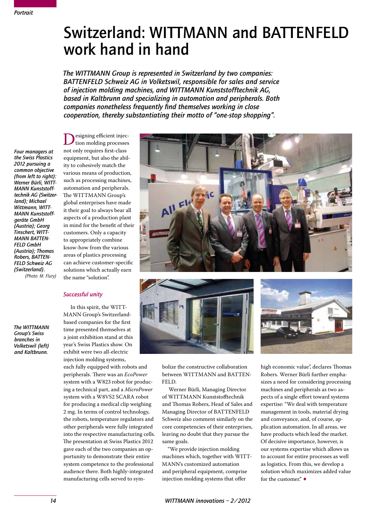### Switzerland: WITTMANN and BATTENFELD work hand in hand

*The WITTMANN Group is represented in Switzerland by two companies: BATTENFELD Schweiz AG in Volketswil, responsible for sales and service of injection molding machines, and WITTMANN Kunststofftechnik AG, based in Kaltbrunn and specializing in automation and peripherals. Both companies nonetheless frequently find themselves working in close cooperation, thereby substantiating their motto of "one-stop shopping".*

*Four managers at the Swiss Plastics 2012 pursuing a common objective (from left to right): Werner Bürli, WITT-MANN Kunststofftechnik AG (Switzerland); Michael Wittmann, WITT-MANN Kunststoffgeräte GmbH (Austria); Georg Tinschert, WITT-MANN BATTEN-FELD GmbH (Austria); Thomas Robers, BATTEN-FELD Schweiz AG (Switzerland). (Photo: M. Flury)*

*The WITTMANN Group's Swiss branches in Volketswil (left) and Kaltbrunn.*

Designing efficient injec-<br>tion molding processes<br>not only requires first-class not only requires first-class equipment, but also the ability to cohesively match the various means of production, such as processing machines, automation and peripherals. The WITTMANN Group's global enterprises have made it their goal to always bear all aspects of a production plant in mind for the benefit of their customers. Only a capacity to appropriately combine know-how from the various areas of plastics processing can achieve customer-specific solutions which actually earn the name "solution".

### *Successful unity*

In this spirit, the WITT-MANN Group's Switzerlandbased companies for the first time presented themselves at a joint exhibition stand at this year's Swiss Plastics show. On exhibit were two all-electric injection molding systems,

each fully equipped with robots and peripherals. There was an *EcoPower* system with a W823 robot for producing a technical part, and a *MicroPower* system with a W8VS2 SCARA robot for producing a medical clip weighing 2 mg. In terms of control technology, the robots, temperature regulators and other peripherals were fully integrated into the respective manufacturing cells. The presentation at Swiss Plastics 2012 gave each of the two companies an opportunity to demonstrate their entire system competence to the professional audience there. Both highly-integrated manufacturing cells served to sym-





bolize the constructive collaboration between WITTMANN and BATTEN-FELD.

Werner Bürli, Managing Director of WITTMANN Kunststofftechnik and Thomas Robers, Head of Sales and Managing Director of BATTENFELD Schweiz also comment similarly on the core competencies of their enterprises, leaving no doubt that they pursue the same goals.

"We provide injection molding machines which, together with WITT-MANN's customized automation and peripheral equipment, comprise injection molding systems that offer



high economic value", declares Thomas Robers. Werner Bürli further emphasizes a need for considering processing machines and peripherals as two aspects of a single effort toward systems expertise: "We deal with temperature management in tools, material drying and conveyance, and, of course, application automation. In all areas, we have products which lead the market. Of decisive importance, however, is our systems expertise which allows us to account for entire processes as well as logistics. From this, we develop a solution which maximizes added value for the customer" $\bullet$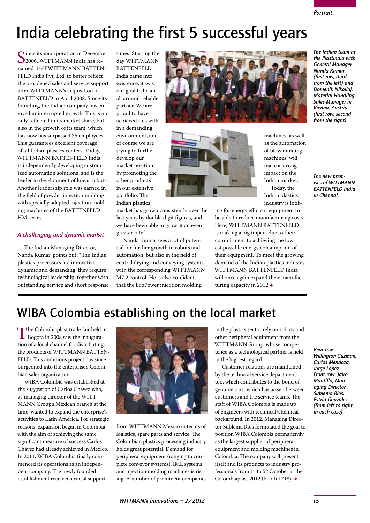*The Indian team at the Plastindia with General Manager Nanda Kumar (first row, third from the left) and Domenik Nikollaj, Material Handling Sales Manager in Vienna, Austria (first row, second from the right).*

### India celebrating the first 5 successful years

Since its incorporation in December<br>2006, WITTMANN India has re-<br>2006, WITTMANN BATTENnamed itself WITTMANN BATTEN-FELD India Pvt. Ltd. to better reflect the broadened sales and service support after WITTMANN's acquisition of BATTENFELD in April 2008. Since its founding, the Indian company has enjoyed uninterrupted growth. This is not only reflected in its market share, but also in the growth of its team, which has now has surpassed 35 employees. This guarantees excellent coverage of all Indian plastics centers. Today, WITTMANN BATTENFELD India is independently developing customized automation solutions, and is the leader in development of linear robots. Another leadership role was earned in the field of powder injection molding with specially adapted injection molding machines of the BATTENFELD HM series.

### *A challenging and dynamic market*

The Indian Managing Director, Nanda Kumar, points out: "The Indian plastics processors are innovative, dynamic and demanding; they require technological leadership, together with outstanding service and short response times. Starting the day WITTMANN **BATTENFELD** India came into existence, it was our goal to be an all around reliable partner. We are proud to have achieved this within a demanding environment, and of course we are trying to further develop our market position by promoting the other products in our extensive portfolio. The Indian plastics

market has grown consistently over the last years by double digit figures, and we have been able to grow at an even greater rate."

Nanda Kumar sees a lot of potential for further growth in robots and automation, but also in the field of central drying and conveying systems with the corresponding WITTMANN M7.2 control. He is also confident that the EcoPower injection molding





machines, as well as the automation of blow molding machines, will make a strong impact on the Indian market. Today, the Indian plastics industry is look-

*The new premises of WITTMANN BATTENFELD India in Chennai.*

ing for energy efficient equipment to be able to reduce manufacturing costs. Here, WITTMANN BATTENFELD is making a big impact due to their commitment to achieving the lowest possible energy consumption of their equipment. To meet the growing demand of the Indian plastics industry, WITTMANN BATTENFELD India will once again expand their manufacturing capacity in 2012.•

### WIBA Colombia establishing on the local market

The Colombiaplast trade fair held in<br>Bogota in 2008 saw the inaugura-<br>tion of a local channel for distributing tion of a local channel for distributing the products of WITTMANN BATTEN-FELD. This ambitious project has since burgeoned into the enterprise's Colombian sales organization.

WIBA Colombia was established at the suggestion of Carlos Chávez who, as managing director of the WITT-MANN Group's Mexican branch at the time, wanted to expand the enterprise's activities to Latin America. For strategic reasons, expansion began in Colombia with the aim of achieving the same significant measure of success Carlos Chávez had already achieved in Mexico. In 2011, WIBA Colombia finally commenced its operations as an independent company. The newly founded establishment received crucial support



from WITTMANN Mexico in terms of logistics, spare parts and service. The Colombian plastics processing industry holds great potential. Demand for peripheral equipment (ranging to complete conveyor systems), IML systems and injection molding machines is rising. A number of prominent companies in the plastics sector rely on robots and other peripheral equipment from the WITTMANN Group, whose competence as a technological partner is held in the highest regard.

Customer relations are maintained by the technical service department too, which contributes to the bond of genuine trust which has arisen between customers and the service teams. The staff of WIBA Colombia is made up of engineers with technical/chemical background. In 2012, Managing Director Sublema Rios formulated the goal to position WIBA Colombia permanently as the largest supplier of peripheral equipment and molding machines in Colombia. The company will present itself and its products to industry professionals from 1st to 5th October at the Colombiaplast 2012 (booth 1718). ●

### *Rear row: Willington Guzman, Carlos Mendoza, Jorge Lopez. Front row: Jairo Mantilla, Managing Director Sublema Rios, Estrid González (from left to right in each case).*